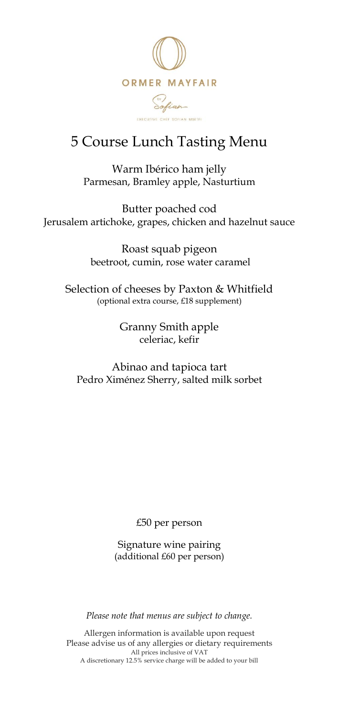

# 5 Course Lunch Tasting Menu

Warm Ibérico ham jelly Parmesan, Bramley apple, Nasturtium

Butter poached cod Jerusalem artichoke, grapes, chicken and hazelnut sauce

> Roast squab pigeon beetroot, cumin, rose water caramel

Selection of cheeses by Paxton & Whitfield (optional extra course, £18 supplement)

> Granny Smith apple celeriac, kefir

Abinao and tapioca tart Pedro Ximénez Sherry, salted milk sorbet

£50 per person

Signature wine pairing (additional £60 per person)

*Please note that menus are subject to change.*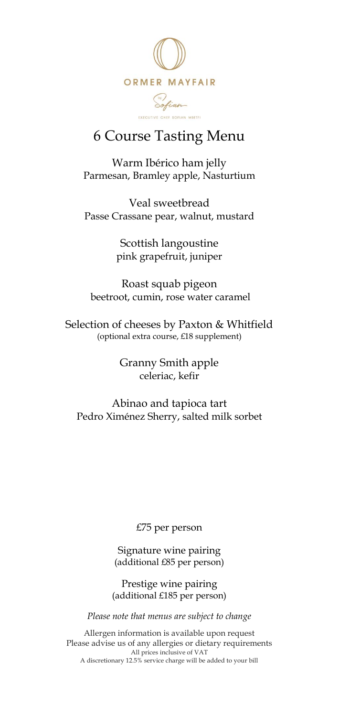

#### 6 Course Tasting Menu

Warm Ibérico ham jelly Parmesan, Bramley apple, Nasturtium

Veal sweetbread Passe Crassane pear, walnut, mustard

> Scottish langoustine pink grapefruit, juniper

Roast squab pigeon beetroot, cumin, rose water caramel

Selection of cheeses by Paxton & Whitfield (optional extra course, £18 supplement)

> Granny Smith apple celeriac, kefir

Abinao and tapioca tart Pedro Ximénez Sherry, salted milk sorbet

£75 per person

Signature wine pairing (additional £85 per person)

Prestige wine pairing (additional £185 per person)

*Please note that menus are subject to change*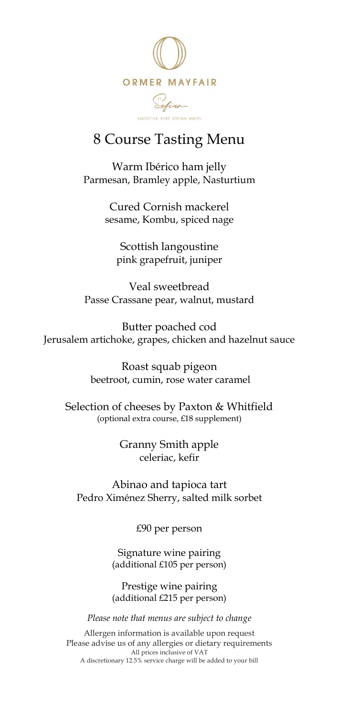

#### 8 Course Tasting Menu

Warm Ibérico ham jelly Parmesan, Bramley apple, Nasturtium

> Cured Cornish mackerel sesame, Kombu, spiced nage

Scottish langoustine pink grapefruit, juniper

Veal sweetbread Passe Crassane pear, walnut, mustard

Butter poached cod Jerusalem artichoke, grapes, chicken and hazelnut sauce

> Roast squab pigeon beetroot, cumin, rose water caramel

Selection of cheeses by Paxton & Whitfield (optional extra course, £18 supplement)

> Granny Smith apple celeriac, kefir

Abinao and tapioca tart Pedro Ximénez Sherry, salted milk sorbet

£90 per person

Signature wine pairing (additional £105 per person)

Prestige wine pairing (additional £215 per person)

*Please note that menus are subject to change*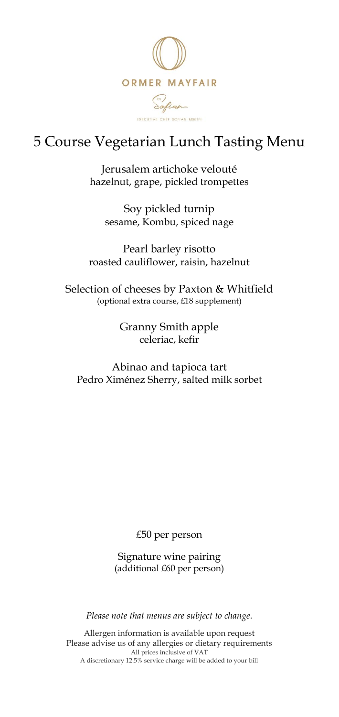

# 5 Course Vegetarian Lunch Tasting Menu

Jerusalem artichoke velouté hazelnut, grape, pickled trompettes

Soy pickled turnip sesame, Kombu, spiced nage

Pearl barley risotto roasted cauliflower, raisin, hazelnut

Selection of cheeses by Paxton & Whitfield (optional extra course, £18 supplement)

> Granny Smith apple celeriac, kefir

Abinao and tapioca tart Pedro Ximénez Sherry, salted milk sorbet

£50 per person

Signature wine pairing (additional £60 per person)

*Please note that menus are subject to change.*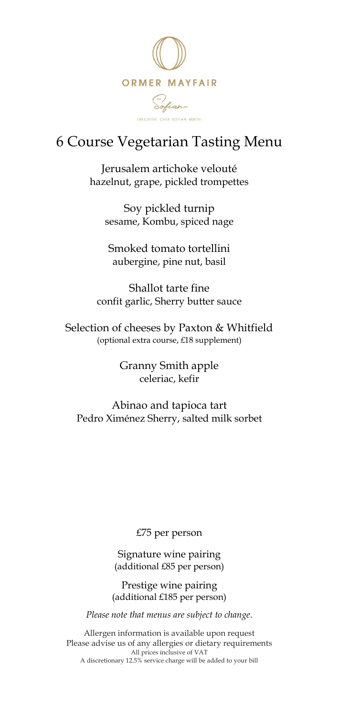

## 6 Course Vegetarian Tasting Menu

Jerusalem artichoke velouté hazelnut, grape, pickled trompettes

Soy pickled turnip sesame, Kombu, spiced nage

Smoked tomato tortellini aubergine, pine nut, basil

Shallot tarte fine confit garlic, Sherry butter sauce

Selection of cheeses by Paxton & Whitfield (optional extra course, £18 supplement)

> Granny Smith apple celeriac, kefir

Abinao and tapioca tart Pedro Ximénez Sherry, salted milk sorbet

£75 per person

Signature wine pairing (additional £85 per person)

Prestige wine pairing (additional £185 per person)

*Please note that menus are subject to change.*